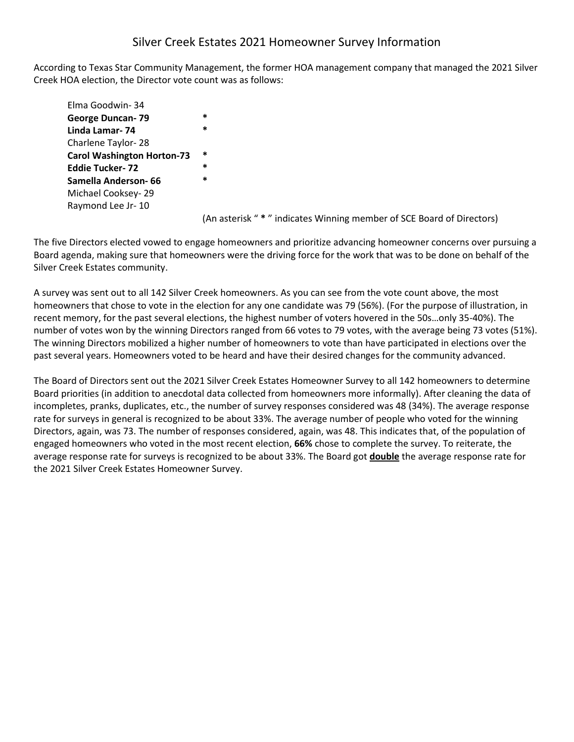# Silver Creek Estates 2021 Homeowner Survey Information

According to Texas Star Community Management, the former HOA management company that managed the 2021 Silver Creek HOA election, the Director vote count was as follows:

Elma Goodwin- 34 **George Duncan- 79 \* Linda Lamar- 74 \*** Charlene Taylor- 28 **Carol Washington Horton-73 \* Eddie Tucker- 72 \* Samella Anderson- 66 \*** Michael Cooksey- 29 Raymond Lee Jr- 10

(An asterisk " **\*** " indicates Winning member of SCE Board of Directors)

The five Directors elected vowed to engage homeowners and prioritize advancing homeowner concerns over pursuing a Board agenda, making sure that homeowners were the driving force for the work that was to be done on behalf of the Silver Creek Estates community.

A survey was sent out to all 142 Silver Creek homeowners. As you can see from the vote count above, the most homeowners that chose to vote in the election for any one candidate was 79 (56%). (For the purpose of illustration, in recent memory, for the past several elections, the highest number of voters hovered in the 50s…only 35-40%). The number of votes won by the winning Directors ranged from 66 votes to 79 votes, with the average being 73 votes (51%). The winning Directors mobilized a higher number of homeowners to vote than have participated in elections over the past several years. Homeowners voted to be heard and have their desired changes for the community advanced.

The Board of Directors sent out the 2021 Silver Creek Estates Homeowner Survey to all 142 homeowners to determine Board priorities (in addition to anecdotal data collected from homeowners more informally). After cleaning the data of incompletes, pranks, duplicates, etc., the number of survey responses considered was 48 (34%). The average response rate for surveys in general is recognized to be about 33%. The average number of people who voted for the winning Directors, again, was 73. The number of responses considered, again, was 48. This indicates that, of the population of engaged homeowners who voted in the most recent election, **66%** chose to complete the survey. To reiterate, the average response rate for surveys is recognized to be about 33%. The Board got **double** the average response rate for the 2021 Silver Creek Estates Homeowner Survey.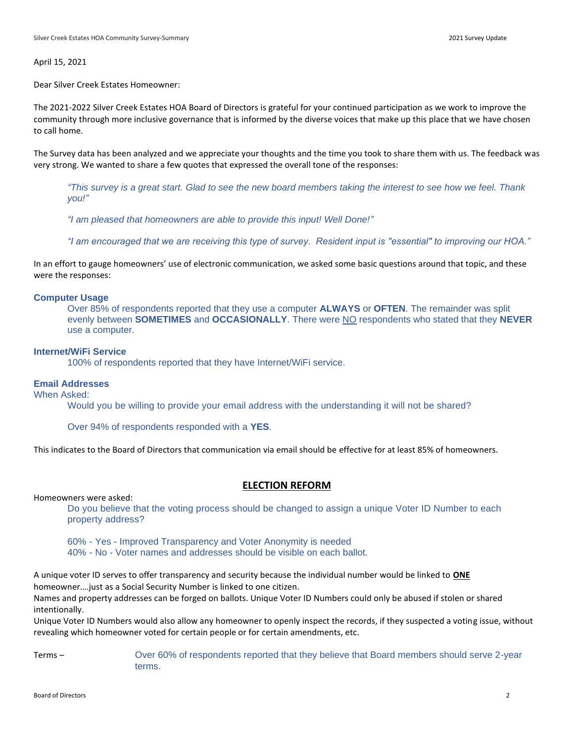April 15, 2021

Dear Silver Creek Estates Homeowner:

The 2021-2022 Silver Creek Estates HOA Board of Directors is grateful for your continued participation as we work to improve the community through more inclusive governance that is informed by the diverse voices that make up this place that we have chosen to call home.

The Survey data has been analyzed and we appreciate your thoughts and the time you took to share them with us. The feedback was very strong. We wanted to share a few quotes that expressed the overall tone of the responses:

*"This survey is a great start. Glad to see the new board members taking the interest to see how we feel. Thank you!"*

*"I am pleased that homeowners are able to provide this input! Well Done!"*

*"I am encouraged that we are receiving this type of survey. Resident input is "essential" to improving our HOA."*

In an effort to gauge homeowners' use of electronic communication, we asked some basic questions around that topic, and these were the responses:

### **Computer Usage**

Over 85% of respondents reported that they use a computer **ALWAYS** or **OFTEN**. The remainder was split evenly between **SOMETIMES** and **OCCASIONALLY**. There were NO respondents who stated that they **NEVER** use a computer.

## **Internet/WiFi Service**

100% of respondents reported that they have Internet/WiFi service.

## **Email Addresses**

When Asked:

Would you be willing to provide your email address with the understanding it will not be shared?

Over 94% of respondents responded with a **YES**.

This indicates to the Board of Directors that communication via email should be effective for at least 85% of homeowners.

## **ELECTION REFORM**

Homeowners were asked:

Do you believe that the voting process should be changed to assign a unique Voter ID Number to each property address?

60% - Yes - Improved Transparency and Voter Anonymity is needed

40% - No - Voter names and addresses should be visible on each ballot.

A unique voter ID serves to offer transparency and security because the individual number would be linked to **ONE** homeowner….just as a Social Security Number is linked to one citizen.

Names and property addresses can be forged on ballots. Unique Voter ID Numbers could only be abused if stolen or shared intentionally.

Unique Voter ID Numbers would also allow any homeowner to openly inspect the records, if they suspected a voting issue, without revealing which homeowner voted for certain people or for certain amendments, etc.

Terms – Over 60% of respondents reported that they believe that Board members should serve 2-year terms.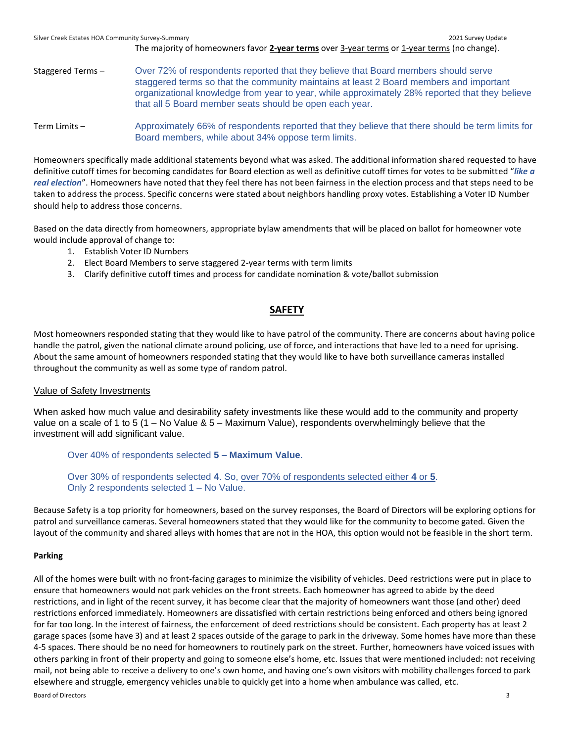Silver Creek Estates HOA Community Survey-Summary 2021 Survey Update The majority of homeowners favor 2-year terms over 3-year terms or 1-year terms (no change). Staggered Terms – Over 72% of respondents reported that they believe that Board members should serve staggered terms so that the community maintains at least 2 Board members and important organizational knowledge from year to year, while approximately 28% reported that they believe that all 5 Board member seats should be open each year. Term Limits – Approximately 66% of respondents reported that they believe that there should be term limits for Board members, while about 34% oppose term limits.

Homeowners specifically made additional statements beyond what was asked. The additional information shared requested to have definitive cutoff times for becoming candidates for Board election as well as definitive cutoff times for votes to be submitted "*like a real election*". Homeowners have noted that they feel there has not been fairness in the election process and that steps need to be taken to address the process. Specific concerns were stated about neighbors handling proxy votes. Establishing a Voter ID Number should help to address those concerns.

Based on the data directly from homeowners, appropriate bylaw amendments that will be placed on ballot for homeowner vote would include approval of change to:

- 1. Establish Voter ID Numbers
- 2. Elect Board Members to serve staggered 2-year terms with term limits
- 3. Clarify definitive cutoff times and process for candidate nomination & vote/ballot submission

## **SAFETY**

Most homeowners responded stating that they would like to have patrol of the community. There are concerns about having police handle the patrol, given the national climate around policing, use of force, and interactions that have led to a need for uprising. About the same amount of homeowners responded stating that they would like to have both surveillance cameras installed throughout the community as well as some type of random patrol.

## Value of Safety Investments

When asked how much value and desirability safety investments like these would add to the community and property value on a scale of 1 to 5 (1 – No Value & 5 – Maximum Value), respondents overwhelmingly believe that the investment will add significant value.

Over 40% of respondents selected **5 – Maximum Value**.

Over 30% of respondents selected **4**. So, over 70% of respondents selected either **4** or **5**. Only 2 respondents selected 1 – No Value.

Because Safety is a top priority for homeowners, based on the survey responses, the Board of Directors will be exploring options for patrol and surveillance cameras. Several homeowners stated that they would like for the community to become gated. Given the layout of the community and shared alleys with homes that are not in the HOA, this option would not be feasible in the short term.

## **Parking**

Board of Directors 3 All of the homes were built with no front-facing garages to minimize the visibility of vehicles. Deed restrictions were put in place to ensure that homeowners would not park vehicles on the front streets. Each homeowner has agreed to abide by the deed restrictions, and in light of the recent survey, it has become clear that the majority of homeowners want those (and other) deed restrictions enforced immediately. Homeowners are dissatisfied with certain restrictions being enforced and others being ignored for far too long. In the interest of fairness, the enforcement of deed restrictions should be consistent. Each property has at least 2 garage spaces (some have 3) and at least 2 spaces outside of the garage to park in the driveway. Some homes have more than these 4-5 spaces. There should be no need for homeowners to routinely park on the street. Further, homeowners have voiced issues with others parking in front of their property and going to someone else's home, etc. Issues that were mentioned included: not receiving mail, not being able to receive a delivery to one's own home, and having one's own visitors with mobility challenges forced to park elsewhere and struggle, emergency vehicles unable to quickly get into a home when ambulance was called, etc.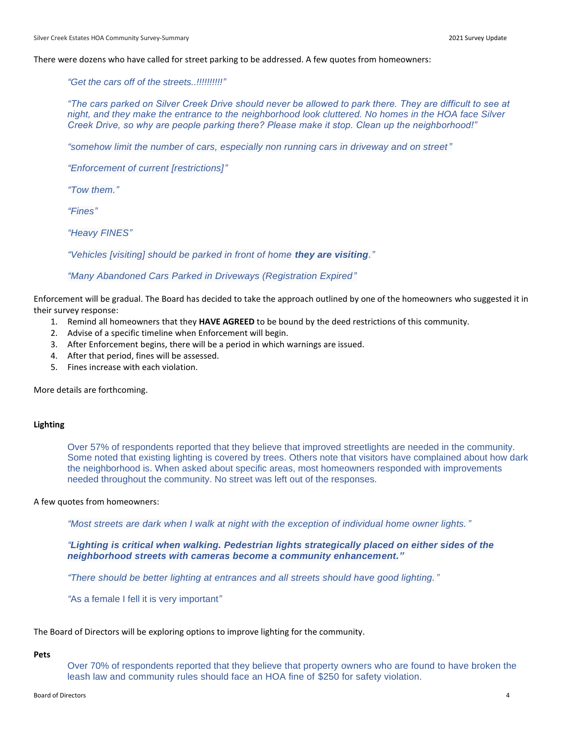### There were dozens who have called for street parking to be addressed. A few quotes from homeowners:

*"Get the cars off of the streets..!!!!!!!!!!"*

*"The cars parked on Silver Creek Drive should never be allowed to park there. They are difficult to see at night, and they make the entrance to the neighborhood look cluttered. No homes in the HOA face Silver Creek Drive, so why are people parking there? Please make it stop. Clean up the neighborhood!"*

*"somehow limit the number of cars, especially non running cars in driveway and on street"*

*"Enforcement of current [restrictions]"*

*"Tow them."*

*"Fines"*

*"Heavy FINES"*

*"Vehicles [visiting] should be parked in front of home they are visiting."*

### *"Many Abandoned Cars Parked in Driveways (Registration Expired"*

Enforcement will be gradual. The Board has decided to take the approach outlined by one of the homeowners who suggested it in their survey response:

- 1. Remind all homeowners that they **HAVE AGREED** to be bound by the deed restrictions of this community.
- 2. Advise of a specific timeline when Enforcement will begin.
- 3. After Enforcement begins, there will be a period in which warnings are issued.
- 4. After that period, fines will be assessed.
- 5. Fines increase with each violation.

More details are forthcoming.

### **Lighting**

Over 57% of respondents reported that they believe that improved streetlights are needed in the community. Some noted that existing lighting is covered by trees. Others note that visitors have complained about how dark the neighborhood is. When asked about specific areas, most homeowners responded with improvements needed throughout the community. No street was left out of the responses.

### A few quotes from homeowners:

*"Most streets are dark when I walk at night with the exception of individual home owner lights."*

*"Lighting is critical when walking. Pedestrian lights strategically placed on either sides of the neighborhood streets with cameras become a community enhancement."*

*"There should be better lighting at entrances and all streets should have good lighting."*

*"*As a female I fell it is very important*"*

The Board of Directors will be exploring options to improve lighting for the community.

#### **Pets**

Over 70% of respondents reported that they believe that property owners who are found to have broken the leash law and community rules should face an HOA fine of \$250 for safety violation.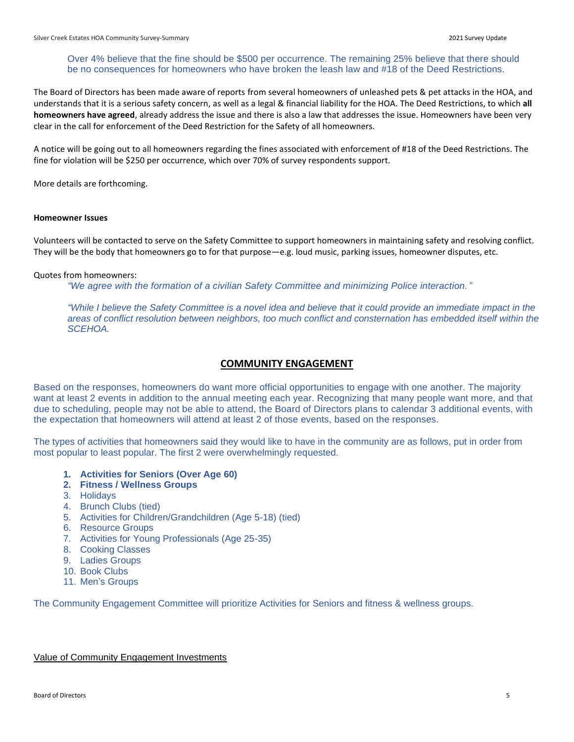## Over 4% believe that the fine should be \$500 per occurrence. The remaining 25% believe that there should be no consequences for homeowners who have broken the leash law and #18 of the Deed Restrictions.

The Board of Directors has been made aware of reports from several homeowners of unleashed pets & pet attacks in the HOA, and understands that it is a serious safety concern, as well as a legal & financial liability for the HOA. The Deed Restrictions, to which **all homeowners have agreed**, already address the issue and there is also a law that addresses the issue. Homeowners have been very clear in the call for enforcement of the Deed Restriction for the Safety of all homeowners.

A notice will be going out to all homeowners regarding the fines associated with enforcement of #18 of the Deed Restrictions. The fine for violation will be \$250 per occurrence, which over 70% of survey respondents support.

More details are forthcoming.

### **Homeowner Issues**

Volunteers will be contacted to serve on the Safety Committee to support homeowners in maintaining safety and resolving conflict. They will be the body that homeowners go to for that purpose—e.g. loud music, parking issues, homeowner disputes, etc.

## Quotes from homeowners:

*"We agree with the formation of a civilian Safety Committee and minimizing Police interaction."*

*"While I believe the Safety Committee is a novel idea and believe that it could provide an immediate impact in the areas of conflict resolution between neighbors, too much conflict and consternation has embedded itself within the SCEHOA.*

## **COMMUNITY ENGAGEMENT**

Based on the responses, homeowners do want more official opportunities to engage with one another. The majority want at least 2 events in addition to the annual meeting each year. Recognizing that many people want more, and that due to scheduling, people may not be able to attend, the Board of Directors plans to calendar 3 additional events, with the expectation that homeowners will attend at least 2 of those events, based on the responses.

The types of activities that homeowners said they would like to have in the community are as follows, put in order from most popular to least popular. The first 2 were overwhelmingly requested.

- **1. Activities for Seniors (Over Age 60)**
- **2. Fitness / Wellness Groups**
- 3. Holidays
- 4. Brunch Clubs (tied)
- 5. Activities for Children/Grandchildren (Age 5-18) (tied)
- 6. Resource Groups
- 7. Activities for Young Professionals (Age 25-35)
- 8. Cooking Classes
- 9. Ladies Groups
- 10. Book Clubs
- 11. Men's Groups

The Community Engagement Committee will prioritize Activities for Seniors and fitness & wellness groups.

## Value of Community Engagement Investments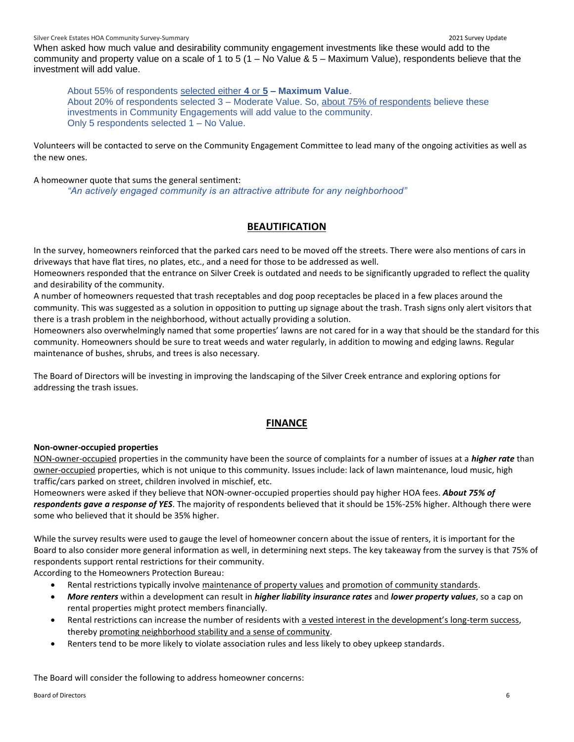When asked how much value and desirability community engagement investments like these would add to the community and property value on a scale of 1 to 5 (1 – No Value & 5 – Maximum Value), respondents believe that the investment will add value.

About 55% of respondents selected either **4** or **5 – Maximum Value**. About 20% of respondents selected 3 – Moderate Value. So, about 75% of respondents believe these investments in Community Engagements will add value to the community. Only 5 respondents selected 1 – No Value.

Volunteers will be contacted to serve on the Community Engagement Committee to lead many of the ongoing activities as well as the new ones.

A homeowner quote that sums the general sentiment:

*"An actively engaged community is an attractive attribute for any neighborhood"*

## **BEAUTIFICATION**

In the survey, homeowners reinforced that the parked cars need to be moved off the streets. There were also mentions of cars in driveways that have flat tires, no plates, etc., and a need for those to be addressed as well.

Homeowners responded that the entrance on Silver Creek is outdated and needs to be significantly upgraded to reflect the quality and desirability of the community.

A number of homeowners requested that trash receptables and dog poop receptacles be placed in a few places around the community. This was suggested as a solution in opposition to putting up signage about the trash. Trash signs only alert visitors that there is a trash problem in the neighborhood, without actually providing a solution.

Homeowners also overwhelmingly named that some properties' lawns are not cared for in a way that should be the standard for this community. Homeowners should be sure to treat weeds and water regularly, in addition to mowing and edging lawns. Regular maintenance of bushes, shrubs, and trees is also necessary.

The Board of Directors will be investing in improving the landscaping of the Silver Creek entrance and exploring options for addressing the trash issues.

## **FINANCE**

## **Non-owner-occupied properties**

NON-owner-occupied properties in the community have been the source of complaints for a number of issues at a *higher rate* than owner-occupied properties, which is not unique to this community. Issues include: lack of lawn maintenance, loud music, high traffic/cars parked on street, children involved in mischief, etc.

Homeowners were asked if they believe that NON-owner-occupied properties should pay higher HOA fees. *About 75% of respondents gave a response of YES*. The majority of respondents believed that it should be 15%-25% higher. Although there were some who believed that it should be 35% higher.

While the survey results were used to gauge the level of homeowner concern about the issue of renters, it is important for the Board to also consider more general information as well, in determining next steps. The key takeaway from the survey is that 75% of respondents support rental restrictions for their community.

According to the Homeowners Protection Bureau:

- Rental restrictions typically involve maintenance of property values and promotion of community standards.
- *More renters* within a development can result in *higher liability insurance rates* and *lower property values*, so a cap on rental properties might protect members financially.
- Rental restrictions can increase the number of residents with a vested interest in the development's long-term success, thereby promoting neighborhood stability and a sense of community.
- Renters tend to be more likely to violate association rules and less likely to obey upkeep standards.

The Board will consider the following to address homeowner concerns: